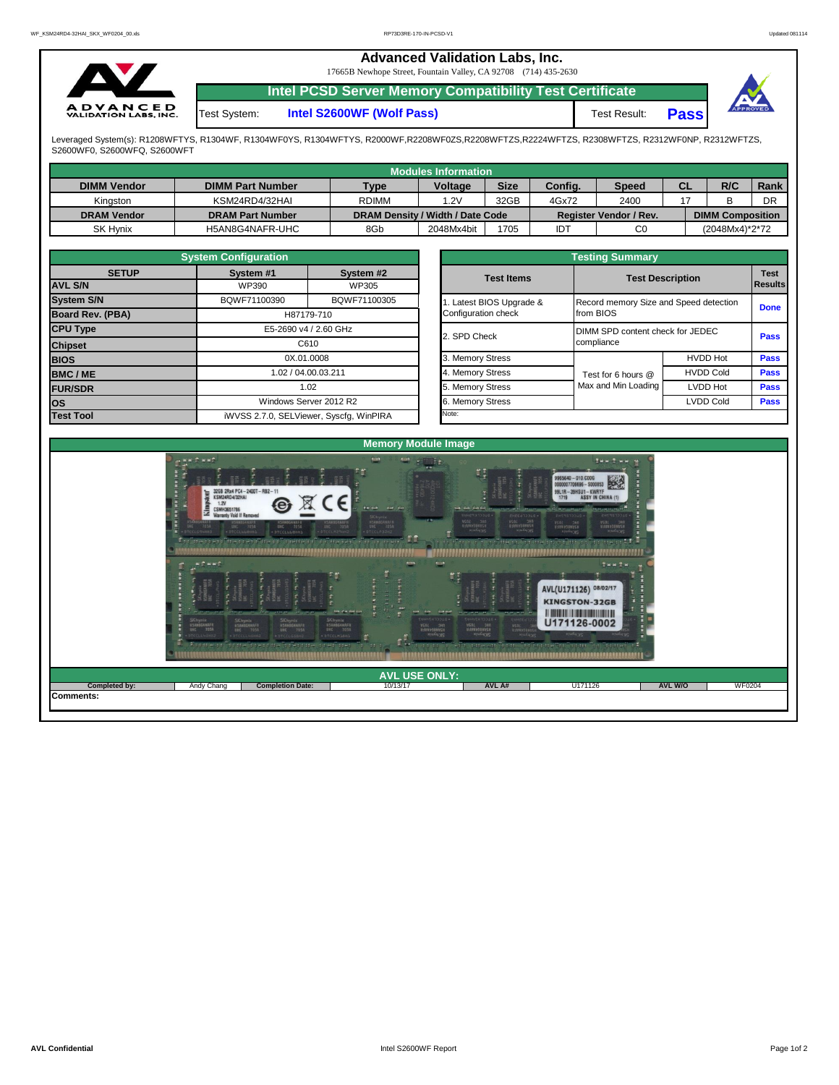## **Advanced Validation Labs, Inc.**

17665B Newhope Street, Fountain Valley, CA 92708 (714) 435-2630



**Intel PCSD Server Memory Compatibility Test Certificate**

Test System: **Intel S2600WF (Wolf Pass)** Test Result: **Pass** 



Leveraged System(s): R1208WFTYS, R1304WF, R1304WF0YS, R1304WFTYS, R2000WF,R2208WF0ZS,R2208WFTZS,R2224WFTZS, R2308WFTZS, R2312WF0NP, R2312WFTZS, S2600WF0, S2600WFQ, S2600WFT

|                    |                         |                                  | <b>Modules Information</b> |             |         |                               |           |                         |      |
|--------------------|-------------------------|----------------------------------|----------------------------|-------------|---------|-------------------------------|-----------|-------------------------|------|
| <b>DIMM Vendor</b> | <b>DIMM Part Number</b> | Type                             | <b>Voltage</b>             | <b>Size</b> | Config. | <b>Speed</b>                  | <b>CL</b> | R/C                     | Rank |
| Kingston           | KSM24RD4/32HAI          | <b>RDIMM</b>                     | 1.2V                       | 32GB        | 4Gx72   | 2400                          |           |                         | DR   |
| <b>DRAM Vendor</b> | <b>DRAM Part Number</b> | DRAM Density / Width / Date Code |                            |             |         | <b>Register Vendor / Rev.</b> |           | <b>DIMM Composition</b> |      |
| SK Hvnix           | H5AN8G4NAFR-UHC         | 8Gb                              | 2048Mx4bit                 | 1705        | IDT     | C0                            |           | (2048Mx4)*2*72          |      |

|                                | <b>System Configuration</b> |                                         |              | <b>Testing Summary</b>           |                     |                                        |                        |  |  |  |  |  |  |
|--------------------------------|-----------------------------|-----------------------------------------|--------------|----------------------------------|---------------------|----------------------------------------|------------------------|--|--|--|--|--|--|
| <b>SETUP</b><br><b>AVL S/N</b> | System #1<br>WP390          | System #2<br>WP305                      |              | <b>Test Items</b>                |                     | <b>Test Description</b>                | <b>Test</b><br>Results |  |  |  |  |  |  |
| <b>System S/N</b>              | BQWF71100390                | BQWF71100305                            |              | Latest BIOS Upgrade &            |                     | Record memory Size and Speed detection |                        |  |  |  |  |  |  |
| Board Rev. (PBA)               |                             | H87179-710                              |              | Configuration check              | from BIOS           | <b>Done</b>                            |                        |  |  |  |  |  |  |
| <b>CPU Type</b>                | E5-2690 v4 / 2.60 GHz       |                                         | 2. SPD Check | DIMM SPD content check for JEDEC | <b>Pass</b>         |                                        |                        |  |  |  |  |  |  |
| <b>Chipset</b>                 | C610                        |                                         |              |                                  |                     |                                        | compliance             |  |  |  |  |  |  |
| <b>BIOS</b>                    |                             | 0X.01.0008                              |              | 3. Memory Stress                 |                     | <b>HVDD Hot</b>                        | <b>Pass</b>            |  |  |  |  |  |  |
| <b>BMC/ME</b>                  |                             | 1.02 / 04.00.03.211                     |              | 4. Memory Stress                 | Test for 6 hours @  | <b>HVDD Cold</b>                       | <b>Pass</b>            |  |  |  |  |  |  |
| <b>FUR/SDR</b>                 |                             | 1.02                                    |              | 5. Memory Stress                 | Max and Min Loading | LVDD Hot                               | <b>Pass</b>            |  |  |  |  |  |  |
| <b>los</b>                     |                             | Windows Server 2012 R2                  |              | 6. Memory Stress                 |                     | <b>LVDD Cold</b>                       | <b>Pass</b>            |  |  |  |  |  |  |
| <b>Test Tool</b>               |                             | iWVSS 2.7.0, SELViewer, Syscfq, WinPIRA |              | Note:                            |                     |                                        |                        |  |  |  |  |  |  |